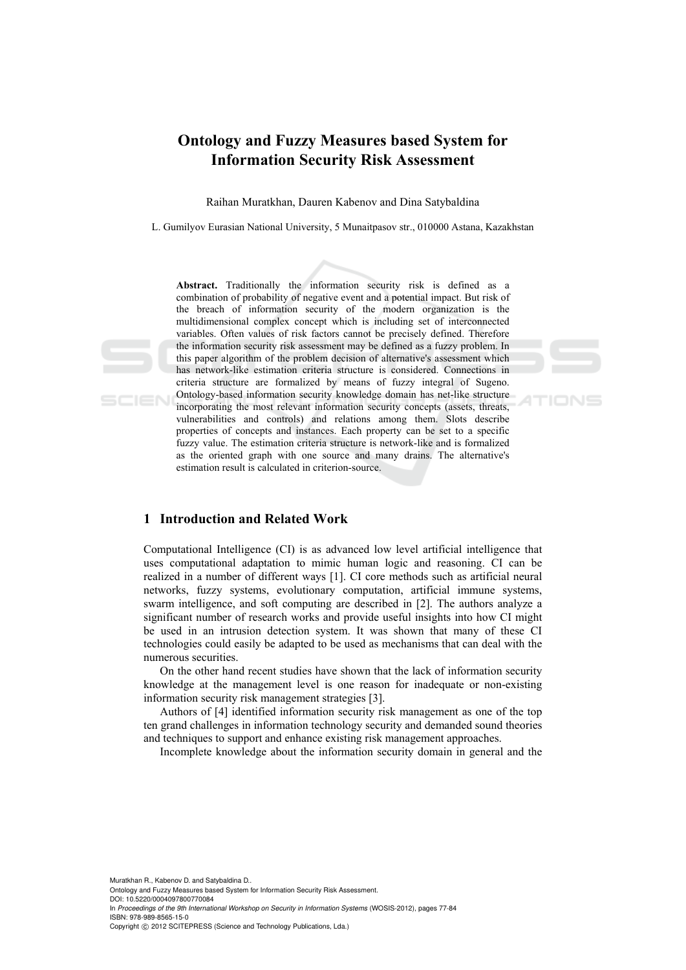# **Ontology and Fuzzy Measures based System for Information Security Risk Assessment**

Raihan Muratkhan, Dauren Kabenov and Dina Satybaldina

L. Gumilyov Eurasian National University, 5 Munaitpasov str., 010000 Astana, Kazakhstan

**Abstract.** Traditionally the information security risk is defined as a combination of probability of negative event and a potential impact. But risk of the breach of information security of the modern organization is the multidimensional complex concept which is including set of interconnected variables. Often values of risk factors cannot be precisely defined. Therefore the information security risk assessment may be defined as a fuzzy problem. In this paper algorithm of the problem decision of alternative's assessment which has network-like estimation criteria structure is considered. Connections in criteria structure are formalized by means of fuzzy integral of Sugeno. Ontology-based information security knowledge domain has net-like structure incorporating the most relevant information security concepts (assets, threats, vulnerabilities and controls) and relations among them. Slots describe properties of concepts and instances. Each property can be set to a specific fuzzy value. The estimation criteria structure is network-like and is formalized as the oriented graph with one source and many drains. The alternative's estimation result is calculated in criterion-source.

TIONS

#### **1 Introduction and Related Work**

SCIEN

Computational Intelligence (CI) is as advanced low level artificial intelligence that uses computational adaptation to mimic human logic and reasoning. CI can be realized in a number of different ways [1]. CI core methods such as artificial neural networks, fuzzy systems, evolutionary computation, artificial immune systems, swarm intelligence, and soft computing are described in [2]. The authors analyze a significant number of research works and provide useful insights into how CI might be used in an intrusion detection system. It was shown that many of these CI technologies could easily be adapted to be used as mechanisms that can deal with the numerous securities.

On the other hand recent studies have shown that the lack of information security knowledge at the management level is one reason for inadequate or non-existing information security risk management strategies [3].

Authors of [4] identified information security risk management as one of the top ten grand challenges in information technology security and demanded sound theories and techniques to support and enhance existing risk management approaches.

Incomplete knowledge about the information security domain in general and the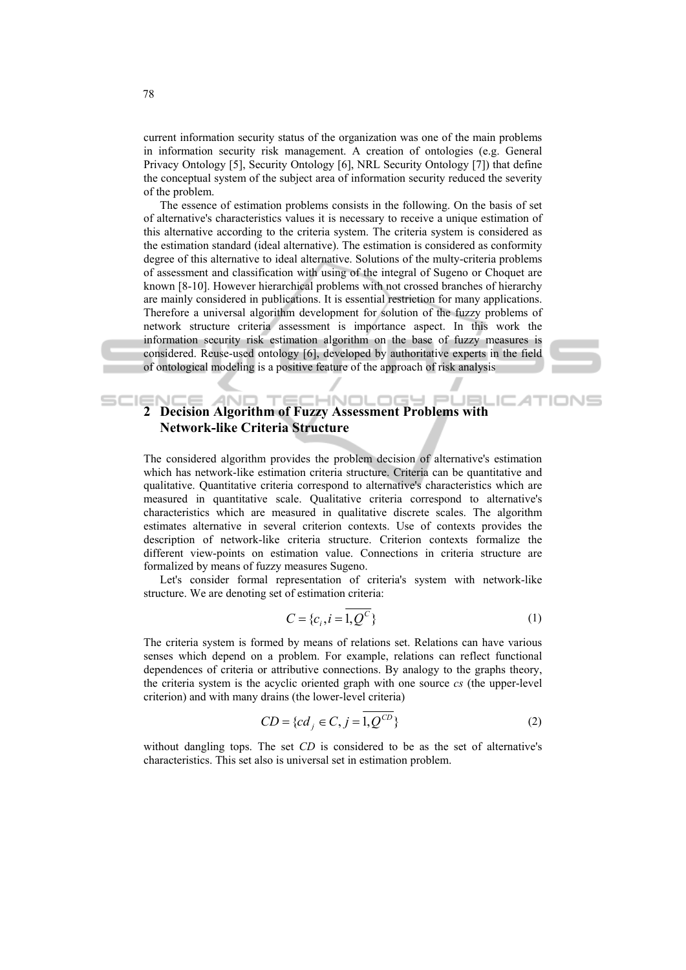current information security status of the organization was one of the main problems in information security risk management. A creation of ontologies (e.g. General Privacy Ontology [5], Security Ontology [6], NRL Security Ontology [7]) that define the conceptual system of the subject area of information security reduced the severity of the problem.

The essence of estimation problems consists in the following. On the basis of set of alternative's characteristics values it is necessary to receive a unique estimation of this alternative according to the criteria system. The criteria system is considered as the estimation standard (ideal alternative). The estimation is considered as conformity degree of this alternative to ideal alternative. Solutions of the multy-criteria problems of assessment and classification with using of the integral of Sugeno or Choquet are known [8-10]. However hierarchical problems with not crossed branches of hierarchy are mainly considered in publications. It is essential restriction for many applications. Therefore a universal algorithm development for solution of the fuzzy problems of network structure criteria assessment is importance aspect. In this work the information security risk estimation algorithm on the base of fuzzy measures is considered. Reuse-used ontology [6], developed by authoritative experts in the field of ontological modeling is a positive feature of the approach of risk analysis

#### **TECHNOL** LOGY PL **2 Decision Algorithm of Fuzzy Assessment Problems with AND** JEL **Network-like Criteria Structure**

The considered algorithm provides the problem decision of alternative's estimation which has network-like estimation criteria structure. Criteria can be quantitative and qualitative. Quantitative criteria correspond to alternative's characteristics which are measured in quantitative scale. Qualitative criteria correspond to alternative's characteristics which are measured in qualitative discrete scales. The algorithm estimates alternative in several criterion contexts. Use of contexts provides the description of network-like criteria structure. Criterion contexts formalize the different view-points on estimation value. Connections in criteria structure are formalized by means of fuzzy measures Sugeno.

Let's consider formal representation of criteria's system with network-like structure. We are denoting set of estimation criteria:

$$
C = \{c_i, i = 1, Q^C\}
$$
 (1)

IONS

The criteria system is formed by means of relations set. Relations can have various senses which depend on a problem. For example, relations can reflect functional dependences of criteria or attributive connections. By analogy to the graphs theory, the criteria system is the acyclic oriented graph with one source *cs* (the upper-level criterion) and with many drains (the lower-level criteria)

$$
CD = \{cd_j \in C, j = \overline{1, Q^{CD}}\}\tag{2}
$$

without dangling tops. The set *CD* is considered to be as the set of alternative's characteristics. This set also is universal set in estimation problem.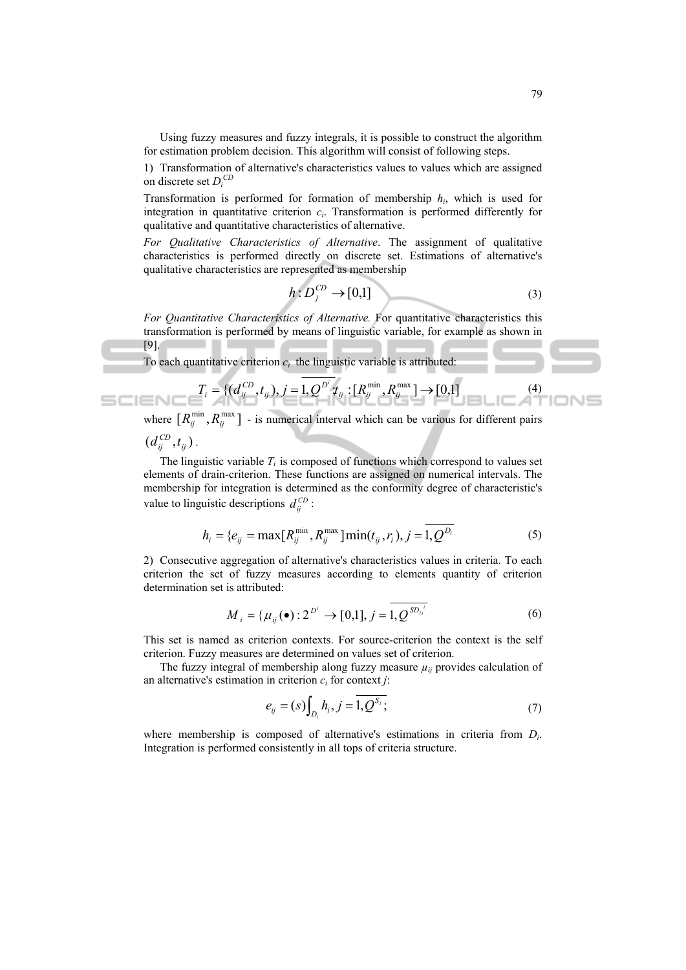Using fuzzy measures and fuzzy integrals, it is possible to construct the algorithm for estimation problem decision. This algorithm will consist of following steps.

1) Transformation of alternative's characteristics values to values which are assigned on discrete set *Di CD*

Transformation is performed for formation of membership *hi*, which is used for integration in quantitative criterion  $c_i$ . Transformation is performed differently for qualitative and quantitative characteristics of alternative.

*For Qualitative Characteristics of Alternative*. The assignment of qualitative characteristics is performed directly on discrete set. Estimations of alternative's qualitative characteristics are represented as membership

$$
h: D_j^{CD} \to [0,1] \tag{3}
$$

*For Quantitative Characteristics of Alternative.* For quantitative characteristics this transformation is performed by means of linguistic variable, for example as shown in [9].

To each quantitative criterion  $c_i$  the linguistic variable is attributed:

$$
T_i = \{ (d_{ij}^{CD}, t_{ij}), j = 1, Q^{D^i} t_{ij} : [R_{ij}^{\min}, R_{ij}^{\max}] \to [0,1] \tag{4}
$$

where  $[R_{ij}^{\min}, R_{ij}^{\max}]$  - is numerical interval which can be various for different pairs

 $(d_{ij}^{CD}, t_{ij})$ .

The linguistic variable  $T_i$  is composed of functions which correspond to values set elements of drain-criterion. These functions are assigned on numerical intervals. The membership for integration is determined as the conformity degree of characteristic's value to linguistic descriptions  $d_{ij}^{CD}$ :

$$
h_i = \{e_{ij} = \max[R_{ij}^{\min}, R_{ij}^{\max}]\min(t_{ij}, r_i), j = 1, Q^{D_i}
$$
(5)

2) Consecutive aggregation of alternative's characteristics values in criteria. To each criterion the set of fuzzy measures according to elements quantity of criterion determination set is attributed:

$$
M_{i} = {\mu_{ij}(\bullet): 2^{D^{i}} \to [0,1], j = 1, \mathcal{Q}^{SD_{ij}^{i}}}
$$
 (6)

This set is named as criterion contexts. For source-criterion the context is the self criterion. Fuzzy measures are determined on values set of criterion.

The fuzzy integral of membership along fuzzy measure  $\mu_{ii}$  provides calculation of an alternative's estimation in criterion  $c_i$  for context *j*:

$$
e_{ij} = (s) \int_{D_i} h_i, j = \overline{1, Q^{S_i}};
$$
 (7)

where membership is composed of alternative's estimations in criteria from *Di*. Integration is performed consistently in all tops of criteria structure.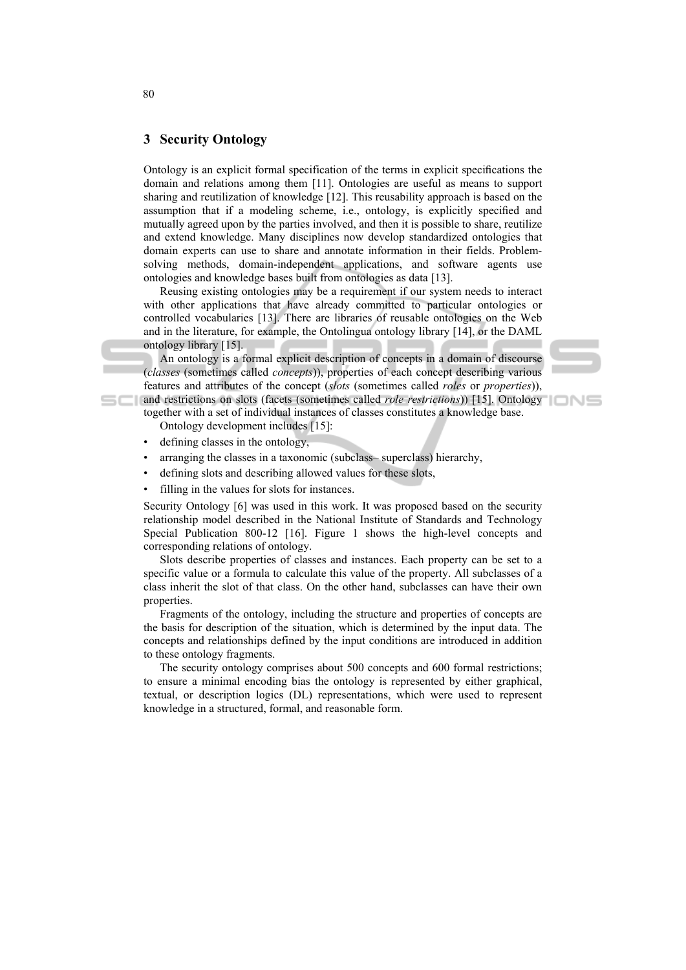## **3 Security Ontology**

Ontology is an explicit formal specification of the terms in explicit specifications the domain and relations among them [11]. Ontologies are useful as means to support sharing and reutilization of knowledge [12]. This reusability approach is based on the assumption that if a modeling scheme, i.e., ontology, is explicitly specified and mutually agreed upon by the parties involved, and then it is possible to share, reutilize and extend knowledge. Many disciplines now develop standardized ontologies that domain experts can use to share and annotate information in their fields. Problemsolving methods, domain-independent applications, and software agents use ontologies and knowledge bases built from ontologies as data [13].

Reusing existing ontologies may be a requirement if our system needs to interact with other applications that have already committed to particular ontologies or controlled vocabularies [13]. There are libraries of reusable ontologies on the Web and in the literature, for example, the Ontolingua ontology library [14], or the DAML ontology library [15].

An ontology is a formal explicit description of concepts in a domain of discourse (*classes* (sometimes called *concepts*)), properties of each concept describing various features and attributes of the concept (*slots* (sometimes called *roles* or *properties*)),

and restrictions on slots (facets (sometimes called *role restrictions*)) [15]. Ontology together with a set of individual instances of classes constitutes a knowledge base.

Ontology development includes [15]:

- defining classes in the ontology,
- arranging the classes in a taxonomic (subclass– superclass) hierarchy,
- defining slots and describing allowed values for these slots,
- filling in the values for slots for instances.

Security Ontology [6] was used in this work. It was proposed based on the security relationship model described in the National Institute of Standards and Technology Special Publication 800-12 [16]. Figure 1 shows the high-level concepts and corresponding relations of ontology.

Slots describe properties of classes and instances. Each property can be set to a specific value or a formula to calculate this value of the property. All subclasses of a class inherit the slot of that class. On the other hand, subclasses can have their own properties.

Fragments of the ontology, including the structure and properties of concepts are the basis for description of the situation, which is determined by the input data. The concepts and relationships defined by the input conditions are introduced in addition to these ontology fragments.

The security ontology comprises about 500 concepts and 600 formal restrictions; to ensure a minimal encoding bias the ontology is represented by either graphical, textual, or description logics (DL) representations, which were used to represent knowledge in a structured, formal, and reasonable form.

80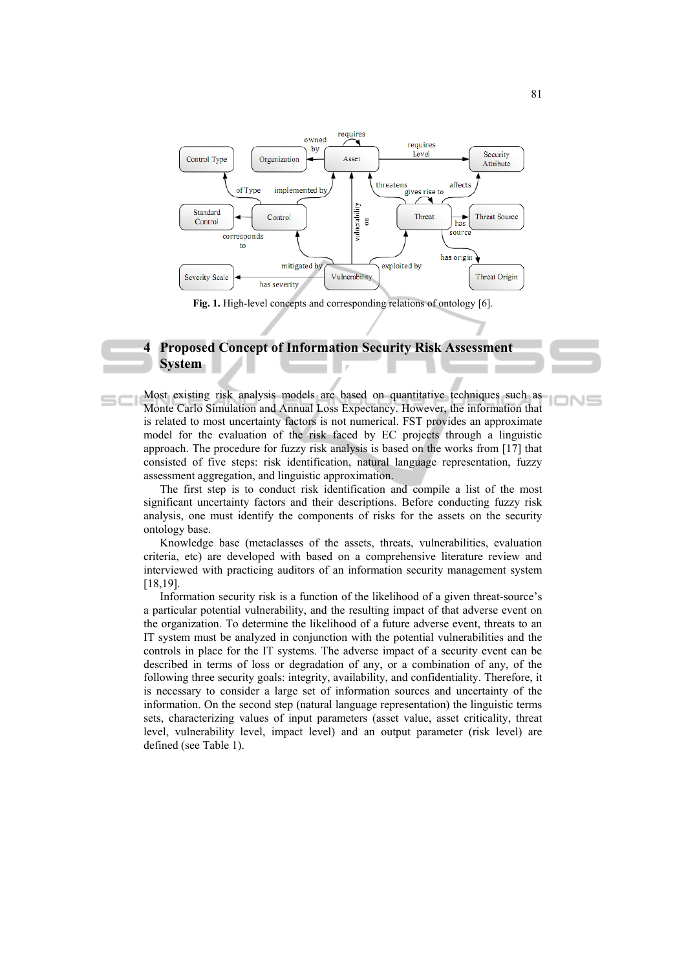

**Fig. 1.** High-level concepts and corresponding relations of ontology [6].

### **4 Proposed Concept of Information Security Risk Assessment System**

 $=$  $-1$ 

Most existing risk analysis models are based on quantitative techniques such as Monte Carlo Simulation and Annual Loss Expectancy. However, the information that is related to most uncertainty factors is not numerical. FST provides an approximate model for the evaluation of the risk faced by EC projects through a linguistic approach. The procedure for fuzzy risk analysis is based on the works from [17] that consisted of five steps: risk identification, natural language representation, fuzzy assessment aggregation, and linguistic approximation.

The first step is to conduct risk identification and compile a list of the most significant uncertainty factors and their descriptions. Before conducting fuzzy risk analysis, one must identify the components of risks for the assets on the security ontology base.

Knowledge base (metaclasses of the assets, threats, vulnerabilities, evaluation criteria, etc) are developed with based on a comprehensive literature review and interviewed with practicing auditors of an information security management system [18,19].

Information security risk is a function of the likelihood of a given threat-source's a particular potential vulnerability, and the resulting impact of that adverse event on the organization. To determine the likelihood of a future adverse event, threats to an IT system must be analyzed in conjunction with the potential vulnerabilities and the controls in place for the IT systems. The adverse impact of a security event can be described in terms of loss or degradation of any, or a combination of any, of the following three security goals: integrity, availability, and confidentiality. Therefore, it is necessary to consider a large set of information sources and uncertainty of the information. On the second step (natural language representation) the linguistic terms sets, characterizing values of input parameters (asset value, asset criticality, threat level, vulnerability level, impact level) and an output parameter (risk level) are defined (see Table 1).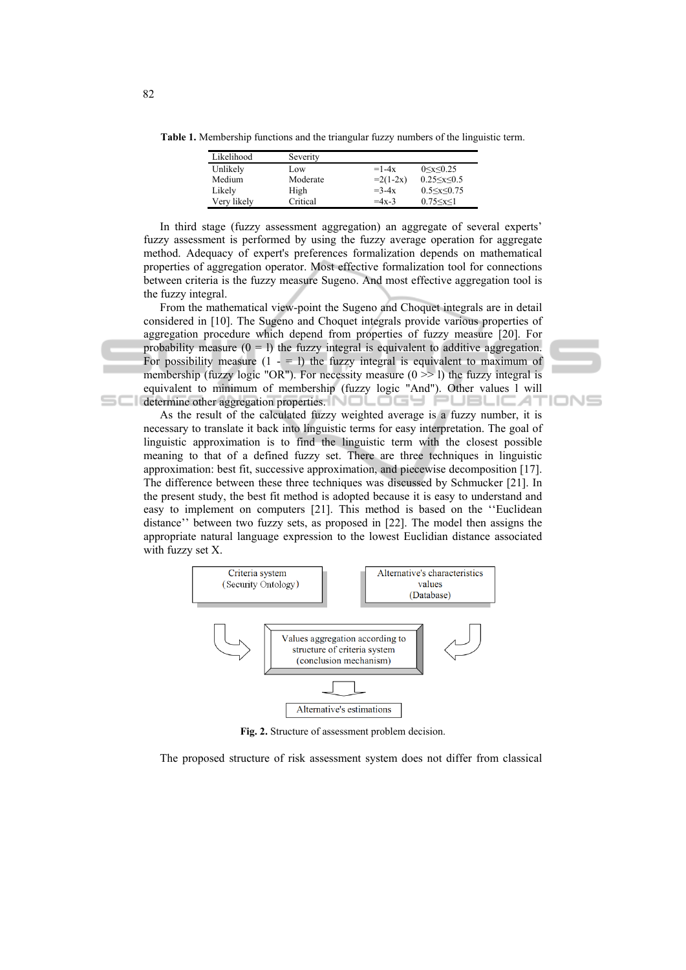**Table 1.** Membership functions and the triangular fuzzy numbers of the linguistic term.

| Likelihood  | Severity |            |                      |
|-------------|----------|------------|----------------------|
| Unlikely    | Low      | $=1-4x$    | $0 \le x \le 0.25$   |
| Medium      | Moderate | $=2(1-2x)$ | $0.25 \le x \le 0.5$ |
| Likely      | High     | $=3-4x$    | $0.5 \le x \le 0.75$ |
| Very likely | Critical | $=4x-3$    | $0.75 \le x \le 1$   |

In third stage (fuzzy assessment aggregation) an aggregate of several experts' fuzzy assessment is performed by using the fuzzy average operation for aggregate method. Adequacy of expert's preferences formalization depends on mathematical properties of aggregation operator. Most effective formalization tool for connections between criteria is the fuzzy measure Sugeno. And most effective aggregation tool is the fuzzy integral.

From the mathematical view-point the Sugeno and Choquet integrals are in detail considered in [10]. The Sugeno and Choquet integrals provide various properties of aggregation procedure which depend from properties of fuzzy measure [20]. For probability measure  $(0 = 1)$  the fuzzy integral is equivalent to additive aggregation. For possibility measure  $(1 - 1)$  the fuzzy integral is equivalent to maximum of membership (fuzzy logic "OR"). For necessity measure  $(0 \gg 1)$  the fuzzy integral is equivalent to minimum of membership (fuzzy logic "And"). Other values l will determine other aggregation properties. NOLOGH PUBLICAT

IONS

As the result of the calculated fuzzy weighted average is a fuzzy number, it is necessary to translate it back into linguistic terms for easy interpretation. The goal of linguistic approximation is to find the linguistic term with the closest possible meaning to that of a defined fuzzy set. There are three techniques in linguistic approximation: best fit, successive approximation, and piecewise decomposition [17]. The difference between these three techniques was discussed by Schmucker [21]. In the present study, the best fit method is adopted because it is easy to understand and easy to implement on computers [21]. This method is based on the ''Euclidean distance'' between two fuzzy sets, as proposed in [22]. The model then assigns the appropriate natural language expression to the lowest Euclidian distance associated with fuzzy set X.



**Fig. 2.** Structure of assessment problem decision.

The proposed structure of risk assessment system does not differ from classical

5C I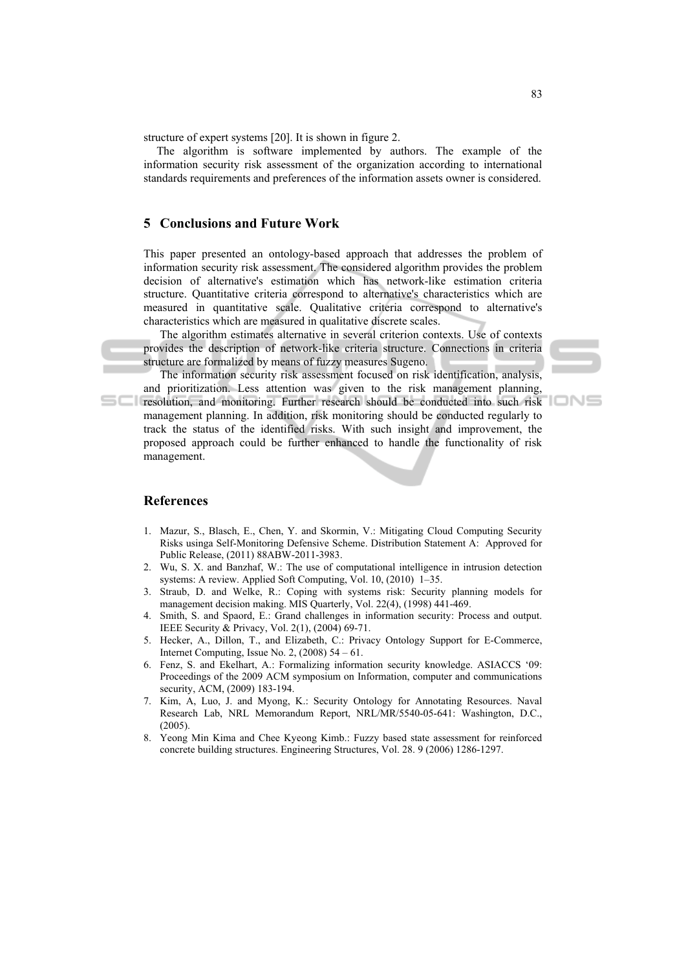structure of expert systems [20]. It is shown in figure 2.

The algorithm is software implemented by authors. The example of the information security risk assessment of the organization according to international standards requirements and preferences of the information assets owner is considered.

### **5 Conclusions and Future Work**

This paper presented an ontology-based approach that addresses the problem of information security risk assessment. The considered algorithm provides the problem decision of alternative's estimation which has network-like estimation criteria structure. Quantitative criteria correspond to alternative's characteristics which are measured in quantitative scale. Qualitative criteria correspond to alternative's characteristics which are measured in qualitative discrete scales.

The algorithm estimates alternative in several criterion contexts. Use of contexts provides the description of network-like criteria structure. Connections in criteria structure are formalized by means of fuzzy measures Sugeno.

The information security risk assessment focused on risk identification, analysis, and prioritization. Less attention was given to the risk management planning,

**resolution, and monitoring. Further research should be conducted into such risk** management planning. In addition, risk monitoring should be conducted regularly to track the status of the identified risks. With such insight and improvement, the proposed approach could be further enhanced to handle the functionality of risk management.

#### **References**

- 1. Mazur, S., Blasch, E., Chen, Y. and Skormin, V.: Mitigating Cloud Computing Security Risks usinga Self-Monitoring Defensive Scheme. Distribution Statement A: Approved for Public Release, (2011) 88ABW-2011-3983.
- 2. Wu, S. X. and Banzhaf, W.: The use of computational intelligence in intrusion detection systems: A review. Applied Soft Computing, Vol. 10, (2010) 1–35.
- 3. Straub, D. and Welke, R.: Coping with systems risk: Security planning models for management decision making. MIS Quarterly, Vol. 22(4), (1998) 441-469.
- 4. Smith, S. and Spaord, E.: Grand challenges in information security: Process and output. IEEE Security & Privacy, Vol. 2(1), (2004) 69-71.
- 5. Hecker, A., Dillon, T., and Elizabeth, C.: Privacy Ontology Support for E-Commerce, Internet Computing, Issue No. 2,  $(2008)$  54 – 61.
- 6. Fenz, S. and Ekelhart, A.: Formalizing information security knowledge. ASIACCS '09: Proceedings of the 2009 ACM symposium on Information, computer and communications security, ACM, (2009) 183-194.
- 7. Kim, A, Luo, J. and Myong, K.: Security Ontology for Annotating Resources. Naval Research Lab, NRL Memorandum Report, NRL/MR/5540-05-641: Washington, D.C., (2005).
- 8. Yeong Min Kima and Chee Kyeong Kimb.: Fuzzy based state assessment for reinforced concrete building structures. Engineering Structures, Vol. 28. 9 (2006) 1286-1297.